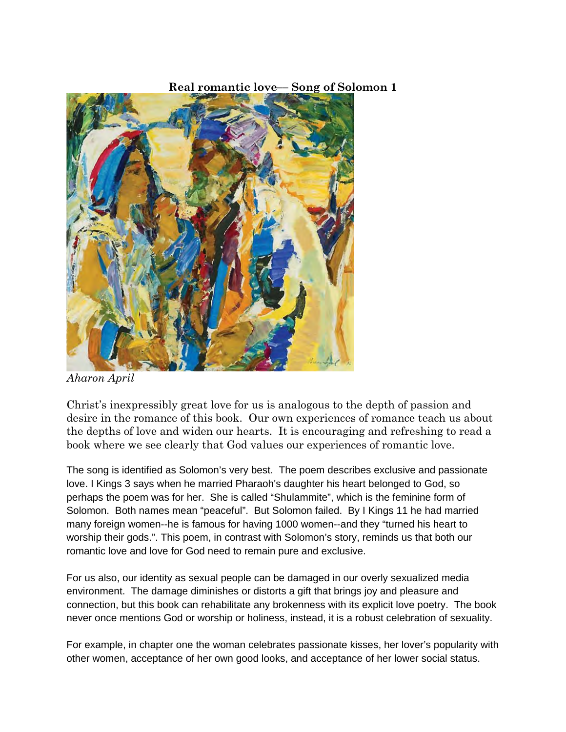## **Real romantic love–– Song of Solomon 1**



*Aharon April*

Christ's inexpressibly great love for us is analogous to the depth of passion and desire in the romance of this book. Our own experiences of romance teach us about the depths of love and widen our hearts. It is encouraging and refreshing to read a book where we see clearly that God values our experiences of romantic love.

The song is identified as Solomon's very best. The poem describes exclusive and passionate love. I Kings 3 says when he married Pharaoh's daughter his heart belonged to God, so perhaps the poem was for her. She is called "Shulammite", which is the feminine form of Solomon. Both names mean "peaceful". But Solomon failed. By I Kings 11 he had married many foreign women--he is famous for having 1000 women--and they "turned his heart to worship their gods.". This poem, in contrast with Solomon's story, reminds us that both our romantic love and love for God need to remain pure and exclusive.

For us also, our identity as sexual people can be damaged in our overly sexualized media environment. The damage diminishes or distorts a gift that brings joy and pleasure and connection, but this book can rehabilitate any brokenness with its explicit love poetry. The book never once mentions God or worship or holiness, instead, it is a robust celebration of sexuality.

For example, in chapter one the woman celebrates passionate kisses, her lover's popularity with other women, acceptance of her own good looks, and acceptance of her lower social status.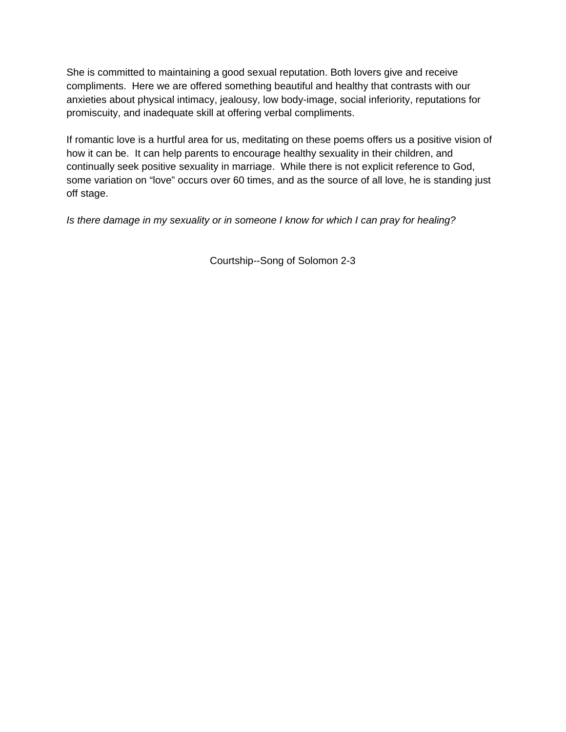She is committed to maintaining a good sexual reputation. Both lovers give and receive compliments. Here we are offered something beautiful and healthy that contrasts with our anxieties about physical intimacy, jealousy, low body-image, social inferiority, reputations for promiscuity, and inadequate skill at offering verbal compliments.

If romantic love is a hurtful area for us, meditating on these poems offers us a positive vision of how it can be. It can help parents to encourage healthy sexuality in their children, and continually seek positive sexuality in marriage. While there is not explicit reference to God, some variation on "love" occurs over 60 times, and as the source of all love, he is standing just off stage.

*Is there damage in my sexuality or in someone I know for which I can pray for healing?*

Courtship--Song of Solomon 2-3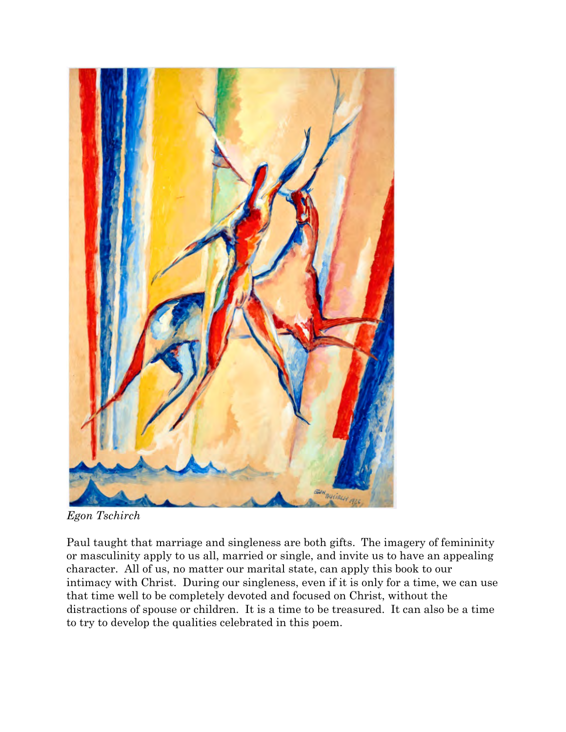

*Egon Tschirch*

Paul taught that marriage and singleness are both gifts. The imagery of femininity or masculinity apply to us all, married or single, and invite us to have an appealing character. All of us, no matter our marital state, can apply this book to our intimacy with Christ. During our singleness, even if it is only for a time, we can use that time well to be completely devoted and focused on Christ, without the distractions of spouse or children. It is a time to be treasured. It can also be a time to try to develop the qualities celebrated in this poem.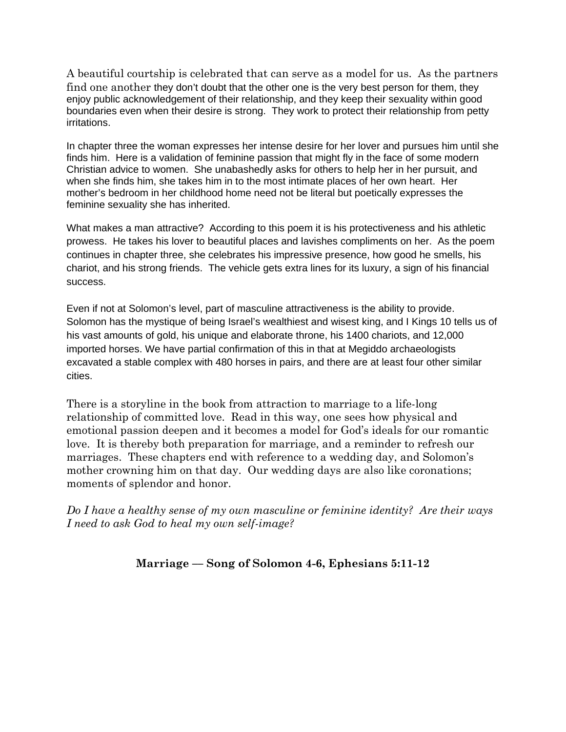A beautiful courtship is celebrated that can serve as a model for us. As the partners find one another they don't doubt that the other one is the very best person for them, they enjoy public acknowledgement of their relationship, and they keep their sexuality within good boundaries even when their desire is strong. They work to protect their relationship from petty irritations.

In chapter three the woman expresses her intense desire for her lover and pursues him until she finds him. Here is a validation of feminine passion that might fly in the face of some modern Christian advice to women. She unabashedly asks for others to help her in her pursuit, and when she finds him, she takes him in to the most intimate places of her own heart. Her mother's bedroom in her childhood home need not be literal but poetically expresses the feminine sexuality she has inherited.

What makes a man attractive? According to this poem it is his protectiveness and his athletic prowess. He takes his lover to beautiful places and lavishes compliments on her. As the poem continues in chapter three, she celebrates his impressive presence, how good he smells, his chariot, and his strong friends. The vehicle gets extra lines for its luxury, a sign of his financial success.

Even if not at Solomon's level, part of masculine attractiveness is the ability to provide. Solomon has the mystique of being Israel's wealthiest and wisest king, and I Kings 10 tells us of his vast amounts of gold, his unique and elaborate throne, his 1400 chariots, and 12,000 imported horses. We have partial confirmation of this in that at Megiddo archaeologists excavated a stable complex with 480 horses in pairs, and there are at least four other similar cities.

There is a storyline in the book from attraction to marriage to a life-long relationship of committed love. Read in this way, one sees how physical and emotional passion deepen and it becomes a model for God's ideals for our romantic love. It is thereby both preparation for marriage, and a reminder to refresh our marriages. These chapters end with reference to a wedding day, and Solomon's mother crowning him on that day. Our wedding days are also like coronations; moments of splendor and honor.

*Do I have a healthy sense of my own masculine or feminine identity? Are their ways I need to ask God to heal my own self-image?*

## **Marriage –– Song of Solomon 4-6, Ephesians 5:11-12**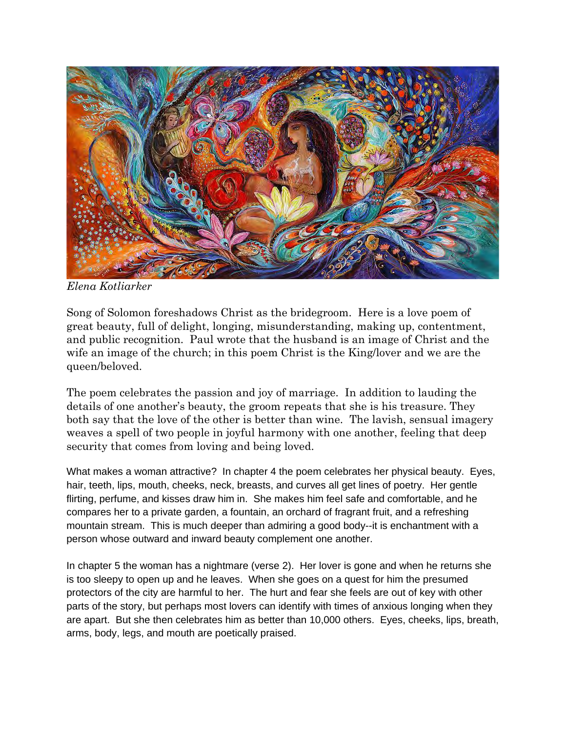

*Elena Kotliarker*

Song of Solomon foreshadows Christ as the bridegroom. Here is a love poem of great beauty, full of delight, longing, misunderstanding, making up, contentment, and public recognition. Paul wrote that the husband is an image of Christ and the wife an image of the church; in this poem Christ is the King/lover and we are the queen/beloved.

The poem celebrates the passion and joy of marriage. In addition to lauding the details of one another's beauty, the groom repeats that she is his treasure. They both say that the love of the other is better than wine. The lavish, sensual imagery weaves a spell of two people in joyful harmony with one another, feeling that deep security that comes from loving and being loved.

What makes a woman attractive? In chapter 4 the poem celebrates her physical beauty. Eyes, hair, teeth, lips, mouth, cheeks, neck, breasts, and curves all get lines of poetry. Her gentle flirting, perfume, and kisses draw him in. She makes him feel safe and comfortable, and he compares her to a private garden, a fountain, an orchard of fragrant fruit, and a refreshing mountain stream. This is much deeper than admiring a good body--it is enchantment with a person whose outward and inward beauty complement one another.

In chapter 5 the woman has a nightmare (verse 2). Her lover is gone and when he returns she is too sleepy to open up and he leaves. When she goes on a quest for him the presumed protectors of the city are harmful to her. The hurt and fear she feels are out of key with other parts of the story, but perhaps most lovers can identify with times of anxious longing when they are apart. But she then celebrates him as better than 10,000 others. Eyes, cheeks, lips, breath, arms, body, legs, and mouth are poetically praised.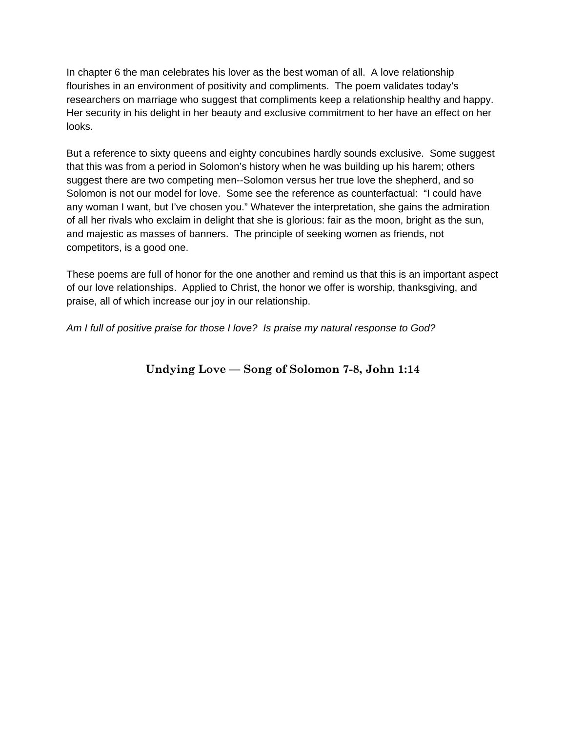In chapter 6 the man celebrates his lover as the best woman of all. A love relationship flourishes in an environment of positivity and compliments. The poem validates today's researchers on marriage who suggest that compliments keep a relationship healthy and happy. Her security in his delight in her beauty and exclusive commitment to her have an effect on her looks.

But a reference to sixty queens and eighty concubines hardly sounds exclusive. Some suggest that this was from a period in Solomon's history when he was building up his harem; others suggest there are two competing men--Solomon versus her true love the shepherd, and so Solomon is not our model for love. Some see the reference as counterfactual: "I could have any woman I want, but I've chosen you." Whatever the interpretation, she gains the admiration of all her rivals who exclaim in delight that she is glorious: fair as the moon, bright as the sun, and majestic as masses of banners. The principle of seeking women as friends, not competitors, is a good one.

These poems are full of honor for the one another and remind us that this is an important aspect of our love relationships. Applied to Christ, the honor we offer is worship, thanksgiving, and praise, all of which increase our joy in our relationship.

*Am I full of positive praise for those I love? Is praise my natural response to God?*

**Undying Love –– Song of Solomon 7-8, John 1:14**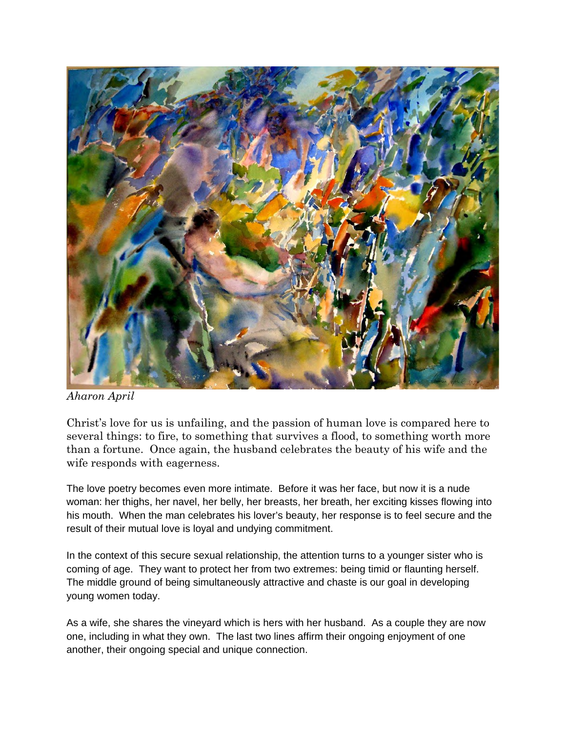

*Aharon April*

Christ's love for us is unfailing, and the passion of human love is compared here to several things: to fire, to something that survives a flood, to something worth more than a fortune. Once again, the husband celebrates the beauty of his wife and the wife responds with eagerness.

The love poetry becomes even more intimate. Before it was her face, but now it is a nude woman: her thighs, her navel, her belly, her breasts, her breath, her exciting kisses flowing into his mouth. When the man celebrates his lover's beauty, her response is to feel secure and the result of their mutual love is loyal and undying commitment.

In the context of this secure sexual relationship, the attention turns to a younger sister who is coming of age. They want to protect her from two extremes: being timid or flaunting herself. The middle ground of being simultaneously attractive and chaste is our goal in developing young women today.

As a wife, she shares the vineyard which is hers with her husband. As a couple they are now one, including in what they own. The last two lines affirm their ongoing enjoyment of one another, their ongoing special and unique connection.